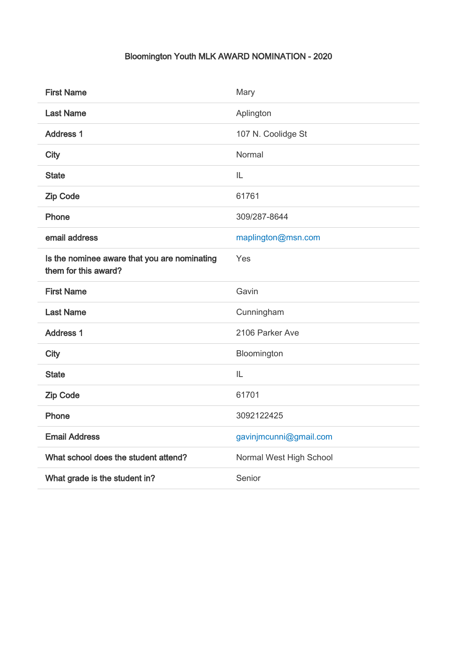## Bloomington Youth MLK AWARD NOMINATION - 2020

| <b>First Name</b>                                                    | Mary                    |
|----------------------------------------------------------------------|-------------------------|
| <b>Last Name</b>                                                     | Aplington               |
| <b>Address 1</b>                                                     | 107 N. Coolidge St      |
| <b>City</b>                                                          | Normal                  |
| <b>State</b>                                                         | IL                      |
| <b>Zip Code</b>                                                      | 61761                   |
| Phone                                                                | 309/287-8644            |
| email address                                                        | maplington@msn.com      |
| Is the nominee aware that you are nominating<br>them for this award? | Yes                     |
| <b>First Name</b>                                                    | Gavin                   |
| <b>Last Name</b>                                                     | Cunningham              |
| <b>Address 1</b>                                                     | 2106 Parker Ave         |
| <b>City</b>                                                          | Bloomington             |
| <b>State</b>                                                         | IL                      |
| <b>Zip Code</b>                                                      | 61701                   |
| Phone                                                                | 3092122425              |
| <b>Email Address</b>                                                 | gavinjmcunni@gmail.com  |
| What school does the student attend?                                 | Normal West High School |
| What grade is the student in?                                        | Senior                  |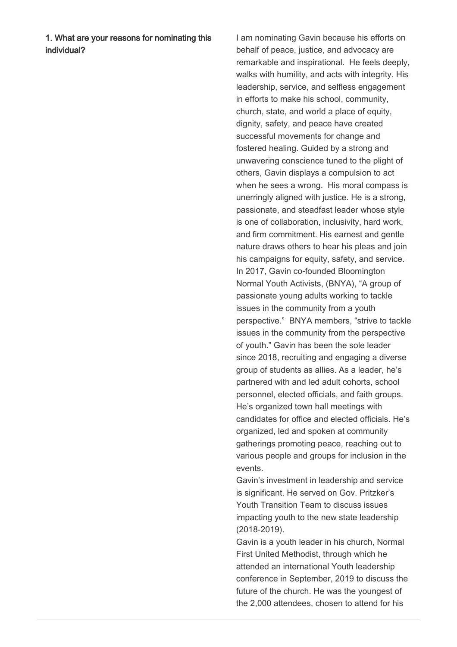1. What are your reasons for nominating this individual?

I am nominating Gavin because his efforts on behalf of peace, justice, and advocacy are remarkable and inspirational. He feels deeply, walks with humility, and acts with integrity. His leadership, service, and selfless engagement in efforts to make his school, community, church, state, and world a place of equity, dignity, safety, and peace have created successful movements for change and fostered healing. Guided by a strong and unwavering conscience tuned to the plight of others, Gavin displays a compulsion to act when he sees a wrong. His moral compass is unerringly aligned with justice. He is a strong, passionate, and steadfast leader whose style is one of collaboration, inclusivity, hard work, and firm commitment. His earnest and gentle nature draws others to hear his pleas and join his campaigns for equity, safety, and service. In 2017, Gavin co-founded Bloomington Normal Youth Activists, (BNYA), "A group of passionate young adults working to tackle issues in the community from a youth perspective." BNYA members, "strive to tackle issues in the community from the perspective of youth." Gavin has been the sole leader since 2018, recruiting and engaging a diverse group of students as allies. As a leader, he's partnered with and led adult cohorts, school personnel, elected officials, and faith groups. He's organized town hall meetings with candidates for office and elected officials. He's organized, led and spoken at community gatherings promoting peace, reaching out to various people and groups for inclusion in the events.

Gavin's investment in leadership and service is significant. He served on Gov. Pritzker's Youth Transition Team to discuss issues impacting youth to the new state leadership (2018-2019).

Gavin is a youth leader in his church, Normal First United Methodist, through which he attended an international Youth leadership conference in September, 2019 to discuss the future of the church. He was the youngest of the 2,000 attendees, chosen to attend for his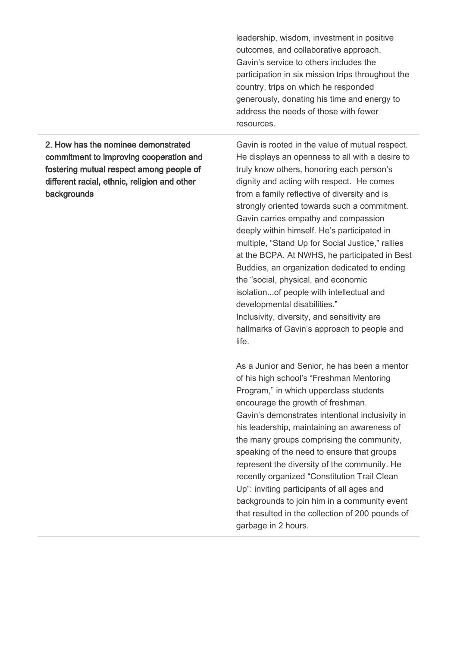leadership, wisdom, investment in positive outcomes, and collaborative approach. Gavin's service to others includes the participation in six mission trips throughout the country, trips on which he responded generously, donating his time and energy to address the needs of those with fewer resources.

2. How has the nominee demonstrated commitment to improving cooperation and fostering mutual respect among people of different racial, ethnic, religion and other backgrounds

Gavin is rooted in the value of mutual respect. He displays an openness to all with a desire to truly know others, honoring each person's dignity and acting with respect. He comes from a family reflective of diversity and is strongly oriented towards such a commitment. Gavin carries empathy and compassion deeply within himself. He's participated in multiple, "Stand Up for Social Justice," rallies at the BCPA. At NWHS, he participated in Best Buddies, an organization dedicated to ending the "social, physical, and economic isolation...of people with intellectual and developmental disabilities." Inclusivity, diversity, and sensitivity are hallmarks of Gavin's approach to people and life.

As a Junior and Senior, he has been a mentor of his high school's "Freshman Mentoring Program," in which upperclass students encourage the growth of freshman. Gavin's demonstrates intentional inclusivity in his leadership, maintaining an awareness of the many groups comprising the community, speaking of the need to ensure that groups represent the diversity of the community. He recently organized "Constitution Trail Clean Up": inviting participants of all ages and backgrounds to join him in a community event that resulted in the collection of 200 pounds of garbage in 2 hours.